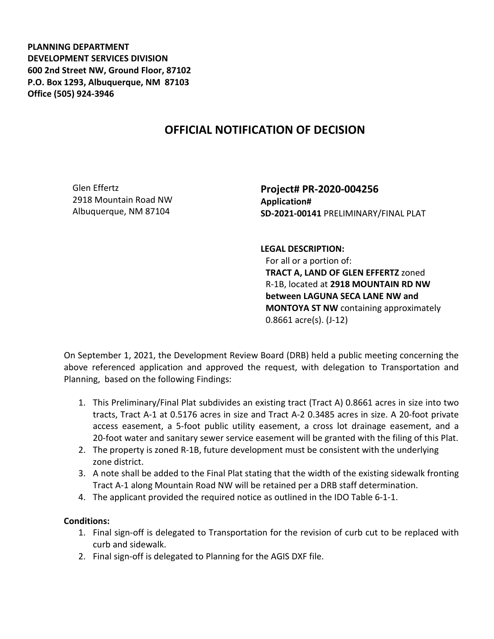**PLANNING DEPARTMENT DEVELOPMENT SERVICES DIVISION 600 2nd Street NW, Ground Floor, 87102 P.O. Box 1293, Albuquerque, NM 87103 Office (505) 924-3946** 

## **OFFICIAL NOTIFICATION OF DECISION**

Glen Effertz 2918 Mountain Road NW Albuquerque, NM 87104

**Project# PR-2020-004256 Application# SD-2021-00141** PRELIMINARY/FINAL PLAT

**LEGAL DESCRIPTION:**

For all or a portion of: **TRACT A, LAND OF GLEN EFFERTZ** zoned R-1B, located at **2918 MOUNTAIN RD NW between LAGUNA SECA LANE NW and MONTOYA ST NW** containing approximately 0.8661 acre(s). (J-12)

On September 1, 2021, the Development Review Board (DRB) held a public meeting concerning the above referenced application and approved the request, with delegation to Transportation and Planning, based on the following Findings:

- 1. This Preliminary/Final Plat subdivides an existing tract (Tract A) 0.8661 acres in size into two tracts, Tract A-1 at 0.5176 acres in size and Tract A-2 0.3485 acres in size. A 20-foot private access easement, a 5-foot public utility easement, a cross lot drainage easement, and a 20-foot water and sanitary sewer service easement will be granted with the filing of this Plat.
- 2. The property is zoned R-1B, future development must be consistent with the underlying zone district.
- 3. A note shall be added to the Final Plat stating that the width of the existing sidewalk fronting Tract A-1 along Mountain Road NW will be retained per a DRB staff determination.
- 4. The applicant provided the required notice as outlined in the IDO Table 6-1-1.

## **Conditions:**

- 1. Final sign-off is delegated to Transportation for the revision of curb cut to be replaced with curb and sidewalk.
- 2. Final sign-off is delegated to Planning for the AGIS DXF file.